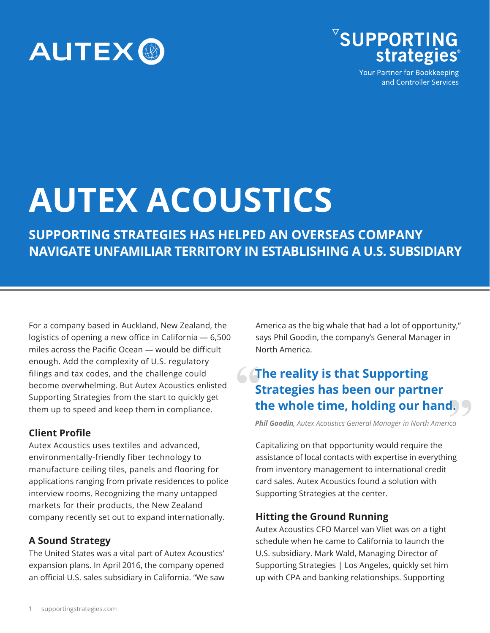



Your Partner for Bookkeeping and Controller Services

# **AUTEX ACOUSTICS**

**SUPPORTING STRATEGIES HAS HELPED AN OVERSEAS COMPANY NAVIGATE UNFAMILIAR TERRITORY IN ESTABLISHING A U.S. SUBSIDIARY**

For a company based in Auckland, New Zealand, the logistics of opening a new office in California — 6,500 miles across the Pacific Ocean — would be difficult enough. Add the complexity of U.S. regulatory filings and tax codes, and the challenge could become overwhelming. But Autex Acoustics enlisted Supporting Strategies from the start to quickly get them up to speed and keep them in compliance.

### **Client Profile**

Autex Acoustics uses textiles and advanced, environmentally-friendly fiber technology to manufacture ceiling tiles, panels and flooring for applications ranging from private residences to police interview rooms. Recognizing the many untapped markets for their products, the New Zealand company recently set out to expand internationally.

### **A Sound Strategy**

The United States was a vital part of Autex Acoustics' expansion plans. In April 2016, the company opened an official U.S. sales subsidiary in California. "We saw America as the big whale that had a lot of opportunity," says Phil Goodin, the company's General Manager in North America.

### **The reality is that Supporting Strategies has been our partner the whole time, holding our hand.**

*Phil Goodin, Autex Acoustics General Manager in North America*

Capitalizing on that opportunity would require the assistance of local contacts with expertise in everything from inventory management to international credit card sales. Autex Acoustics found a solution with Supporting Strategies at the center.

### **Hitting the Ground Running**

Autex Acoustics CFO Marcel van Vliet was on a tight schedule when he came to California to launch the U.S. subsidiary. Mark Wald, Managing Director of Supporting Strategies | Los Angeles, quickly set him up with CPA and banking relationships. Supporting